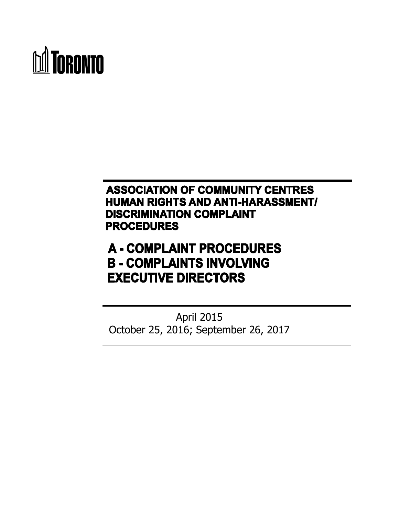

## **ASSOCIATION OF COMMUNITY CENTRES HUMAN RIGHTS AND ANTI-HARASSMENT/ DISCRIMINATION COMPLAINT PROCEDURES**

# **A - COMPLAINT PROCEDURES B - COMPLAINTS INVOLVING EXECUTIVE DIRECTORS**

April 2015 October 25, 2016; September 26, 2017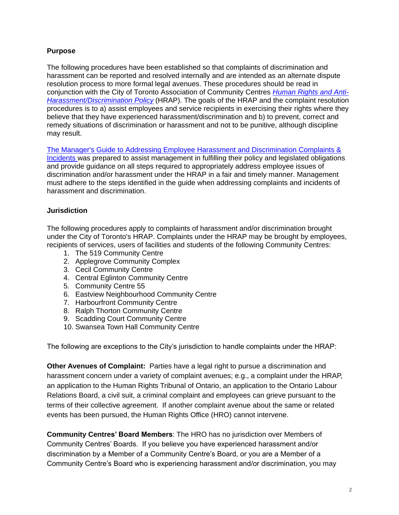#### **Purpose**

The following procedures have been established so that complaints of discrimination and harassment can be reported and resolved internally and are intended as an alternate dispute resolution process to more formal legal avenues. These procedures should be read in conjunction with the City of Toronto Association of Community Centres *[Human Rights and Anti-](https://wx.toronto.ca/intra/hr/policies.nsf/a8170e9c63677876852577d7004f8/c8c007fd9cd24c6585257d4e00653676?OpenDocument)[Harassment/Discrimination Policy](https://wx.toronto.ca/intra/hr/policies.nsf/a8170e9c63677876852577d7004f8/c8c007fd9cd24c6585257d4e00653676?OpenDocument)* (HRAP). The goals of the HRAP and the complaint resolution procedures is to a) assist employees and service recipients in exercising their rights where they believe that they have experienced harassment/discrimination and b) to prevent, correct and remedy situations of discrimination or harassment and not to be punitive, although discipline may result.

[The Manager's Guide to Addressing Employee Harassment and Discrimination Complaints &](http://insideto.toronto.ca/edhr/pdf/managers-guide.pdf)  [Incidents](http://insideto.toronto.ca/edhr/pdf/managers-guide.pdf) was prepared to assist management in fulfilling their policy and legislated obligations and provide guidance on all steps required to appropriately address employee issues of discrimination and/or harassment under the HRAP in a fair and timely manner. Management must adhere to the steps identified in the guide when addressing complaints and incidents of harassment and discrimination.

#### **Jurisdiction**

The following procedures apply to complaints of harassment and/or discrimination brought under the City of Toronto's HRAP. Complaints under the HRAP may be brought by employees, recipients of services, users of facilities and students of the following Community Centres:

- 1. The 519 Community Centre
- 2. Applegrove Community Complex
- 3. Cecil Community Centre
- 4. Central Eglinton Community Centre
- 5. Community Centre 55
- 6. Eastview Neighbourhood Community Centre
- 7. Harbourfront Community Centre
- 8. Ralph Thorton Community Centre
- 9. Scadding Court Community Centre
- 10. Swansea Town Hall Community Centre

The following are exceptions to the City's jurisdiction to handle complaints under the HRAP:

**Other Avenues of Complaint:** Parties have a legal right to pursue a discrimination and harassment concern under a variety of complaint avenues; e.g., a complaint under the HRAP, an application to the Human Rights Tribunal of Ontario, an application to the Ontario Labour Relations Board, a civil suit, a criminal complaint and employees can grieve pursuant to the terms of their collective agreement. If another complaint avenue about the same or related events has been pursued, the Human Rights Office (HRO) cannot intervene.

**Community Centres' Board Members**: The HRO has no jurisdiction over Members of Community Centres' Boards. If you believe you have experienced harassment and/or discrimination by a Member of a Community Centre's Board, or you are a Member of a Community Centre's Board who is experiencing harassment and/or discrimination, you may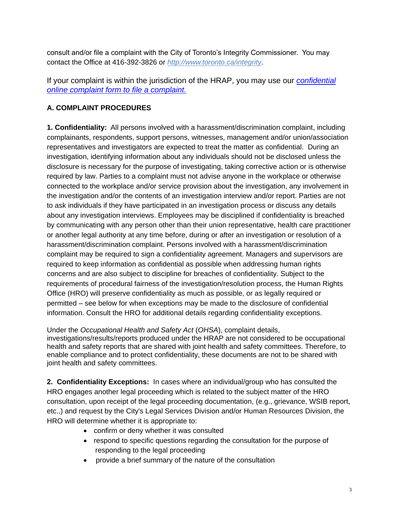consult and/or file a complaint with the City of Toronto's Integrity Commissioner. You may contact the Office at 416-392-3826 or *http://www.toronto.ca/integrity*.

If your complaint is within the jurisdiction of the HRAP, you may use our *[confidential](https://epass.toronto.ca/f5-w-68747470733a2f2f77782e746f726f6e746f2e6361$$/inter/cmo/humanrights.nsf/complaint?openform)  [online complaint form to file a complaint.](https://epass.toronto.ca/f5-w-68747470733a2f2f77782e746f726f6e746f2e6361$$/inter/cmo/humanrights.nsf/complaint?openform)*

#### **A. COMPLAINT PROCEDURES**

**1. Confidentiality:** All persons involved with a harassment/discrimination complaint, including complainants, respondents, support persons, witnesses, management and/or union/association representatives and investigators are expected to treat the matter as confidential. During an investigation, identifying information about any individuals should not be disclosed unless the disclosure is necessary for the purpose of investigating, taking corrective action or is otherwise required by law. Parties to a complaint must not advise anyone in the workplace or otherwise connected to the workplace and/or service provision about the investigation, any involvement in the investigation and/or the contents of an investigation interview and/or report. Parties are not to ask individuals if they have participated in an investigation process or discuss any details about any investigation interviews. Employees may be disciplined if confidentiality is breached by communicating with any person other than their union representative, health care practitioner or another legal authority at any time before, during or after an investigation or resolution of a harassment/discrimination complaint. Persons involved with a harassment/discrimination complaint may be required to sign a confidentiality agreement. Managers and supervisors are required to keep information as confidential as possible when addressing human rights concerns and are also subject to discipline for breaches of confidentiality. Subject to the requirements of procedural fairness of the investigation/resolution process, the Human Rights Office (HRO) will preserve confidentiality as much as possible, or as legally required or permitted – see below for when exceptions may be made to the disclosure of confidential information. Consult the HRO for additional details regarding confidentiality exceptions.

Under the *Occupational Health and Safety Act* (*OHSA*), complaint details, investigations/results/reports produced under the HRAP are not considered to be occupational health and safety reports that are shared with joint health and safety committees. Therefore, to enable compliance and to protect confidentiality, these documents are not to be shared with joint health and safety committees.

**2. Confidentiality Exceptions:** In cases where an individual/group who has consulted the HRO engages another legal proceeding which is related to the subject matter of the HRO consultation, upon receipt of the legal proceeding documentation, (e.g., grievance, WSIB report, etc.,) and request by the City's Legal Services Division and/or Human Resources Division, the HRO will determine whether it is appropriate to:

- confirm or deny whether it was consulted
- respond to specific questions regarding the consultation for the purpose of responding to the legal proceeding
- provide a brief summary of the nature of the consultation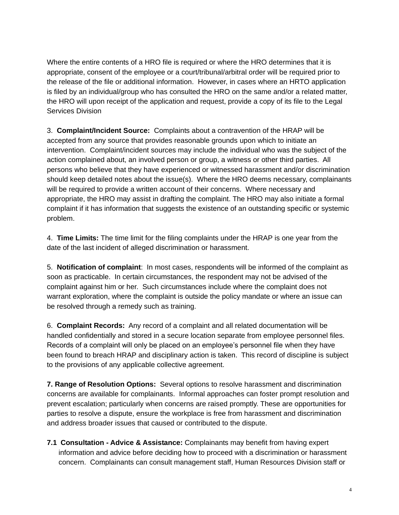Where the entire contents of a HRO file is required or where the HRO determines that it is appropriate, consent of the employee or a court/tribunal/arbitral order will be required prior to the release of the file or additional information. However, in cases where an HRTO application is filed by an individual/group who has consulted the HRO on the same and/or a related matter, the HRO will upon receipt of the application and request, provide a copy of its file to the Legal Services Division

3. **Complaint/Incident Source:** Complaints about a contravention of the HRAP will be accepted from any source that provides reasonable grounds upon which to initiate an intervention. Complaint/incident sources may include the individual who was the subject of the action complained about, an involved person or group, a witness or other third parties. All persons who believe that they have experienced or witnessed harassment and/or discrimination should keep detailed notes about the issue(s). Where the HRO deems necessary, complainants will be required to provide a written account of their concerns. Where necessary and appropriate, the HRO may assist in drafting the complaint. The HRO may also initiate a formal complaint if it has information that suggests the existence of an outstanding specific or systemic problem.

4. **Time Limits:** The time limit for the filing complaints under the HRAP is one year from the date of the last incident of alleged discrimination or harassment.

5. **Notification of complaint**: In most cases, respondents will be informed of the complaint as soon as practicable. In certain circumstances, the respondent may not be advised of the complaint against him or her. Such circumstances include where the complaint does not warrant exploration, where the complaint is outside the policy mandate or where an issue can be resolved through a remedy such as training.

6. **Complaint Records:** Any record of a complaint and all related documentation will be handled confidentially and stored in a secure location separate from employee personnel files. Records of a complaint will only be placed on an employee's personnel file when they have been found to breach HRAP and disciplinary action is taken. This record of discipline is subject to the provisions of any applicable collective agreement.

**7. Range of Resolution Options:** Several options to resolve harassment and discrimination concerns are available for complainants. Informal approaches can foster prompt resolution and prevent escalation; particularly when concerns are raised promptly. These are opportunities for parties to resolve a dispute, ensure the workplace is free from harassment and discrimination and address broader issues that caused or contributed to the dispute.

**7.1 Consultation - Advice & Assistance:** Complainants may benefit from having expert information and advice before deciding how to proceed with a discrimination or harassment concern. Complainants can consult management staff, Human Resources Division staff or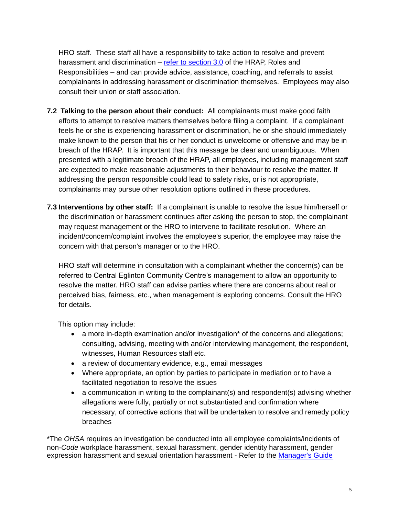HRO staff. These staff all have a responsibility to take action to resolve and prevent harassment and discrimination – [refer to section 3.0](http://wi.toronto.ca/intra/hr/policies.nsf/9fff29b7237299b385256729004b844b/019a1b99227c73cd8525674d0047520a?OpenDocument) of the HRAP, Roles and Responsibilities – and can provide advice, assistance, coaching, and referrals to assist complainants in addressing harassment or discrimination themselves. Employees may also consult their union or staff association.

- **7.2 Talking to the person about their conduct:** All complainants must make good faith efforts to attempt to resolve matters themselves before filing a complaint. If a complainant feels he or she is experiencing harassment or discrimination, he or she should immediately make known to the person that his or her conduct is unwelcome or offensive and may be in breach of the HRAP. It is important that this message be clear and unambiguous. When presented with a legitimate breach of the HRAP, all employees, including management staff are expected to make reasonable adjustments to their behaviour to resolve the matter. If addressing the person responsible could lead to safety risks, or is not appropriate, complainants may pursue other resolution options outlined in these procedures.
- **7.3 Interventions by other staff:** If a complainant is unable to resolve the issue him/herself or the discrimination or harassment continues after asking the person to stop, the complainant may request management or the HRO to intervene to facilitate resolution. Where an incident/concern/complaint involves the employee's superior, the employee may raise the concern with that person's manager or to the HRO.

HRO staff will determine in consultation with a complainant whether the concern(s) can be referred to Central Eglinton Community Centre's management to allow an opportunity to resolve the matter. HRO staff can advise parties where there are concerns about real or perceived bias, fairness, etc., when management is exploring concerns. Consult the HRO for details.

This option may include:

- a more in-depth examination and/or investigation<sup>\*</sup> of the concerns and allegations; consulting, advising, meeting with and/or interviewing management, the respondent, witnesses, Human Resources staff etc.
- a review of documentary evidence, e.g., email messages
- Where appropriate, an option by parties to participate in mediation or to have a facilitated negotiation to resolve the issues
- a communication in writing to the complainant(s) and respondent(s) advising whether allegations were fully, partially or not substantiated and confirmation where necessary, of corrective actions that will be undertaken to resolve and remedy policy breaches

\*The *OHSA* requires an investigation be conducted into all employee complaints/incidents of non-*Code* workplace harassment, sexual harassment, gender identity harassment, gender expression harassment and sexual orientation harassment - Refer to the [Manager's Guide](http://insideto.toronto.ca/edhr/pdf/managers-guide.pdf)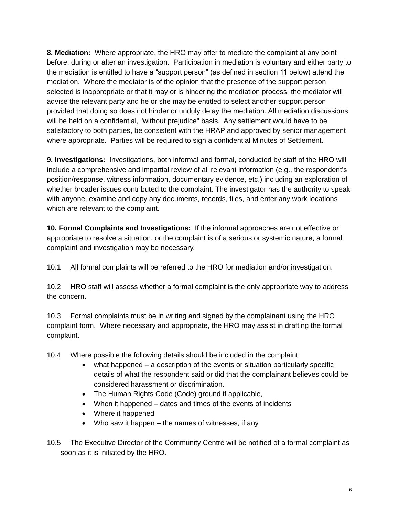**8. Mediation:** Where appropriate, the HRO may offer to mediate the complaint at any point before, during or after an investigation. Participation in mediation is voluntary and either party to the mediation is entitled to have a "support person" (as defined in section 11 below) attend the mediation. Where the mediator is of the opinion that the presence of the support person selected is inappropriate or that it may or is hindering the mediation process, the mediator will advise the relevant party and he or she may be entitled to select another support person provided that doing so does not hinder or unduly delay the mediation. All mediation discussions will be held on a confidential, "without prejudice" basis. Any settlement would have to be satisfactory to both parties, be consistent with the HRAP and approved by senior management where appropriate. Parties will be required to sign a confidential Minutes of Settlement.

**9. Investigations:** Investigations, both informal and formal, conducted by staff of the HRO will include a comprehensive and impartial review of all relevant information (e.g., the respondent's position/response, witness information, documentary evidence, etc.) including an exploration of whether broader issues contributed to the complaint. The investigator has the authority to speak with anyone, examine and copy any documents, records, files, and enter any work locations which are relevant to the complaint.

**10. Formal Complaints and Investigations:** If the informal approaches are not effective or appropriate to resolve a situation, or the complaint is of a serious or systemic nature, a formal complaint and investigation may be necessary.

10.1 All formal complaints will be referred to the HRO for mediation and/or investigation.

10.2 HRO staff will assess whether a formal complaint is the only appropriate way to address the concern.

10.3 Formal complaints must be in writing and signed by the complainant using the HRO complaint form. Where necessary and appropriate, the HRO may assist in drafting the formal complaint.

- 10.4 Where possible the following details should be included in the complaint:
	- what happened a description of the events or situation particularly specific details of what the respondent said or did that the complainant believes could be considered harassment or discrimination.
	- The Human Rights Code (Code) ground if applicable,
	- When it happened dates and times of the events of incidents
	- Where it happened
	- Who saw it happen the names of witnesses, if any
- 10.5 The Executive Director of the Community Centre will be notified of a formal complaint as soon as it is initiated by the HRO.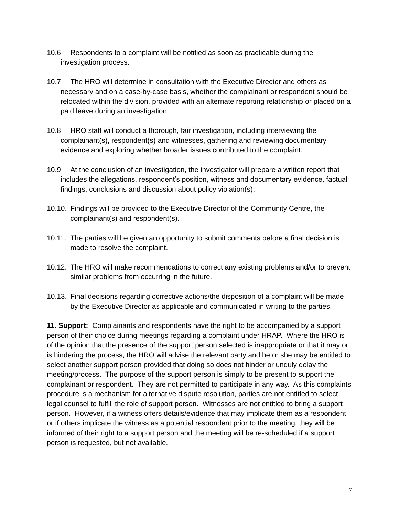- 10.6 Respondents to a complaint will be notified as soon as practicable during the investigation process.
- 10.7 The HRO will determine in consultation with the Executive Director and others as necessary and on a case-by-case basis, whether the complainant or respondent should be relocated within the division, provided with an alternate reporting relationship or placed on a paid leave during an investigation.
- 10.8 HRO staff will conduct a thorough, fair investigation, including interviewing the complainant(s), respondent(s) and witnesses, gathering and reviewing documentary evidence and exploring whether broader issues contributed to the complaint.
- 10.9 At the conclusion of an investigation, the investigator will prepare a written report that includes the allegations, respondent's position, witness and documentary evidence, factual findings, conclusions and discussion about policy violation(s).
- 10.10. Findings will be provided to the Executive Director of the Community Centre, the complainant(s) and respondent(s).
- 10.11. The parties will be given an opportunity to submit comments before a final decision is made to resolve the complaint.
- 10.12. The HRO will make recommendations to correct any existing problems and/or to prevent similar problems from occurring in the future.
- 10.13. Final decisions regarding corrective actions/the disposition of a complaint will be made by the Executive Director as applicable and communicated in writing to the parties.

**11. Support:** Complainants and respondents have the right to be accompanied by a support person of their choice during meetings regarding a complaint under HRAP. Where the HRO is of the opinion that the presence of the support person selected is inappropriate or that it may or is hindering the process, the HRO will advise the relevant party and he or she may be entitled to select another support person provided that doing so does not hinder or unduly delay the meeting/process. The purpose of the support person is simply to be present to support the complainant or respondent. They are not permitted to participate in any way. As this complaints procedure is a mechanism for alternative dispute resolution, parties are not entitled to select legal counsel to fulfill the role of support person. Witnesses are not entitled to bring a support person. However, if a witness offers details/evidence that may implicate them as a respondent or if others implicate the witness as a potential respondent prior to the meeting, they will be informed of their right to a support person and the meeting will be re-scheduled if a support person is requested, but not available.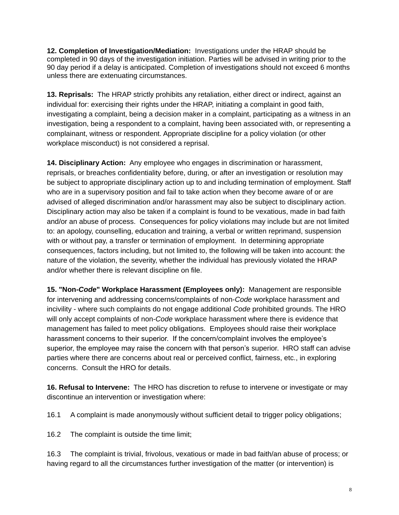**12. Completion of Investigation/Mediation:** Investigations under the HRAP should be completed in 90 days of the investigation initiation. Parties will be advised in writing prior to the 90 day period if a delay is anticipated. Completion of investigations should not exceed 6 months unless there are extenuating circumstances.

**13. Reprisals:** The HRAP strictly prohibits any retaliation, either direct or indirect, against an individual for: exercising their rights under the HRAP, initiating a complaint in good faith, investigating a complaint, being a decision maker in a complaint, participating as a witness in an investigation, being a respondent to a complaint, having been associated with, or representing a complainant, witness or respondent. Appropriate discipline for a policy violation (or other workplace misconduct) is not considered a reprisal.

**14. Disciplinary Action:** Any employee who engages in discrimination or harassment, reprisals, or breaches confidentiality before, during, or after an investigation or resolution may be subject to appropriate disciplinary action up to and including termination of employment. Staff who are in a supervisory position and fail to take action when they become aware of or are advised of alleged discrimination and/or harassment may also be subject to disciplinary action. Disciplinary action may also be taken if a complaint is found to be vexatious, made in bad faith and/or an abuse of process. Consequences for policy violations may include but are not limited to: an apology, counselling, education and training, a verbal or written reprimand, suspension with or without pay, a transfer or termination of employment. In determining appropriate consequences, factors including, but not limited to, the following will be taken into account: the nature of the violation, the severity, whether the individual has previously violated the HRAP and/or whether there is relevant discipline on file.

**15. "Non-***Code***" Workplace Harassment (Employees only):** Management are responsible for intervening and addressing concerns/complaints of non-*Code* workplace harassment and incivility - where such complaints do not engage additional *Code* prohibited grounds. The HRO will only accept complaints of non-*Code* workplace harassment where there is evidence that management has failed to meet policy obligations. Employees should raise their workplace harassment concerns to their superior. If the concern/complaint involves the employee's superior, the employee may raise the concern with that person's superior. HRO staff can advise parties where there are concerns about real or perceived conflict, fairness, etc., in exploring concerns. Consult the HRO for details.

**16. Refusal to Intervene:** The HRO has discretion to refuse to intervene or investigate or may discontinue an intervention or investigation where:

16.1 A complaint is made anonymously without sufficient detail to trigger policy obligations;

16.2 The complaint is outside the time limit;

16.3 The complaint is trivial, frivolous, vexatious or made in bad faith/an abuse of process; or having regard to all the circumstances further investigation of the matter (or intervention) is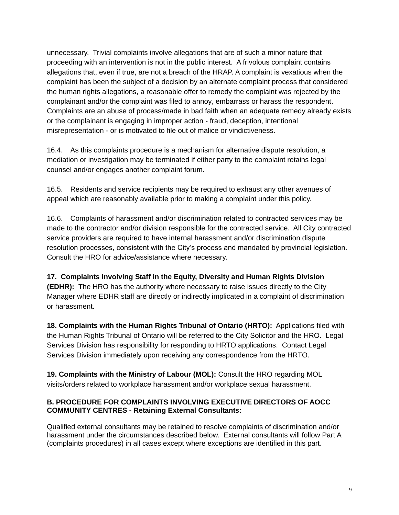unnecessary. Trivial complaints involve allegations that are of such a minor nature that proceeding with an intervention is not in the public interest. A frivolous complaint contains allegations that, even if true, are not a breach of the HRAP. A complaint is vexatious when the complaint has been the subject of a decision by an alternate complaint process that considered the human rights allegations, a reasonable offer to remedy the complaint was rejected by the complainant and/or the complaint was filed to annoy, embarrass or harass the respondent. Complaints are an abuse of process/made in bad faith when an adequate remedy already exists or the complainant is engaging in improper action - fraud, deception, intentional misrepresentation - or is motivated to file out of malice or vindictiveness.

16.4. As this complaints procedure is a mechanism for alternative dispute resolution, a mediation or investigation may be terminated if either party to the complaint retains legal counsel and/or engages another complaint forum.

16.5. Residents and service recipients may be required to exhaust any other avenues of appeal which are reasonably available prior to making a complaint under this policy.

16.6. Complaints of harassment and/or discrimination related to contracted services may be made to the contractor and/or division responsible for the contracted service. All City contracted service providers are required to have internal harassment and/or discrimination dispute resolution processes, consistent with the City's process and mandated by provincial legislation. Consult the HRO for advice/assistance where necessary.

**17. Complaints Involving Staff in the Equity, Diversity and Human Rights Division (EDHR):** The HRO has the authority where necessary to raise issues directly to the City Manager where EDHR staff are directly or indirectly implicated in a complaint of discrimination or harassment.

**18. Complaints with the Human Rights Tribunal of Ontario (HRTO):** Applications filed with the Human Rights Tribunal of Ontario will be referred to the City Solicitor and the HRO. Legal Services Division has responsibility for responding to HRTO applications. Contact Legal Services Division immediately upon receiving any correspondence from the HRTO.

**19. Complaints with the Ministry of Labour (MOL):** Consult the HRO regarding MOL visits/orders related to workplace harassment and/or workplace sexual harassment.

#### **B. PROCEDURE FOR COMPLAINTS INVOLVING EXECUTIVE DIRECTORS OF AOCC COMMUNITY CENTRES - Retaining External Consultants:**

Qualified external consultants may be retained to resolve complaints of discrimination and/or harassment under the circumstances described below. External consultants will follow Part A (complaints procedures) in all cases except where exceptions are identified in this part.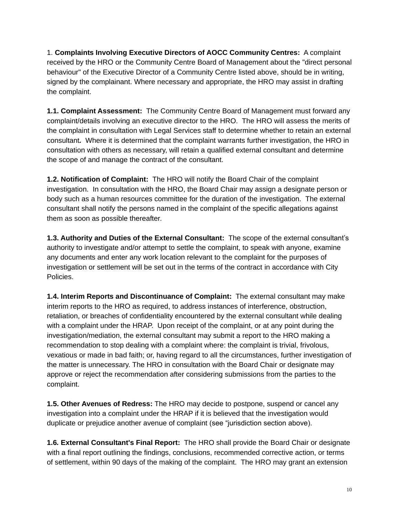1. **Complaints Involving Executive Directors of AOCC Community Centres:** A complaint received by the HRO or the Community Centre Board of Management about the "direct personal behaviour" of the Executive Director of a Community Centre listed above, should be in writing, signed by the complainant. Where necessary and appropriate, the HRO may assist in drafting the complaint.

**1.1. Complaint Assessment:** The Community Centre Board of Management must forward any complaint/details involving an executive director to the HRO.The HRO will assess the merits of the complaint in consultation with Legal Services staff to determine whether to retain an external consultant*.* Where it is determined that the complaint warrants further investigation, the HRO in consultation with others as necessary, will retain a qualified external consultant and determine the scope of and manage the contract of the consultant.

**1.2. Notification of Complaint:** The HRO will notify the Board Chair of the complaint investigation. In consultation with the HRO, the Board Chair may assign a designate person or body such as a human resources committee for the duration of the investigation. The external consultant shall notify the persons named in the complaint of the specific allegations against them as soon as possible thereafter.

**1.3. Authority and Duties of the External Consultant:** The scope of the external consultant's authority to investigate and/or attempt to settle the complaint, to speak with anyone, examine any documents and enter any work location relevant to the complaint for the purposes of investigation or settlement will be set out in the terms of the contract in accordance with City Policies.

**1.4. Interim Reports and Discontinuance of Complaint:** The external consultant may make interim reports to the HRO as required, to address instances of interference, obstruction, retaliation, or breaches of confidentiality encountered by the external consultant while dealing with a complaint under the HRAP. Upon receipt of the complaint, or at any point during the investigation/mediation, the external consultant may submit a report to the HRO making a recommendation to stop dealing with a complaint where: the complaint is trivial, frivolous, vexatious or made in bad faith; or, having regard to all the circumstances, further investigation of the matter is unnecessary. The HRO in consultation with the Board Chair or designate may approve or reject the recommendation after considering submissions from the parties to the complaint.

**1.5. Other Avenues of Redress:** The HRO may decide to postpone, suspend or cancel any investigation into a complaint under the HRAP if it is believed that the investigation would duplicate or prejudice another avenue of complaint (see "jurisdiction section above).

**1.6***.* **External Consultant's Final Report:** The HRO shall provide the Board Chair or designate with a final report outlining the findings, conclusions, recommended corrective action, or terms of settlement, within 90 days of the making of the complaint. The HRO may grant an extension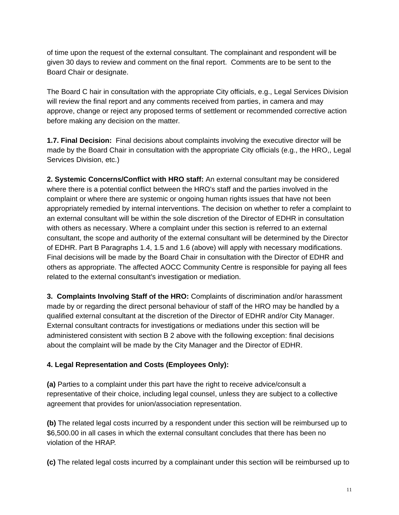of time upon the request of the external consultant. The complainant and respondent will be given 30 days to review and comment on the final report. Comments are to be sent to the Board Chair or designate.

The Board C hair in consultation with the appropriate City officials, e.g., Legal Services Division will review the final report and any comments received from parties, in camera and may approve, change or reject any proposed terms of settlement or recommended corrective action before making any decision on the matter.

**1.7. Final Decision:** Final decisions about complaints involving the executive director will be made by the Board Chair in consultation with the appropriate City officials (e.g., the HRO,, Legal Services Division, etc.)

**2. Systemic Concerns/Conflict with HRO staff:** An external consultant may be considered where there is a potential conflict between the HRO's staff and the parties involved in the complaint or where there are systemic or ongoing human rights issues that have not been appropriately remedied by internal interventions. The decision on whether to refer a complaint to an external consultant will be within the sole discretion of the Director of EDHR in consultation with others as necessary. Where a complaint under this section is referred to an external consultant, the scope and authority of the external consultant will be determined by the Director of EDHR. Part B Paragraphs 1.4, 1.5 and 1.6 (above) will apply with necessary modifications. Final decisions will be made by the Board Chair in consultation with the Director of EDHR and others as appropriate. The affected AOCC Community Centre is responsible for paying all fees related to the external consultant's investigation or mediation.

**3. Complaints Involving Staff of the HRO:** Complaints of discrimination and/or harassment made by or regarding the direct personal behaviour of staff of the HRO may be handled by a qualified external consultant at the discretion of the Director of EDHR and/or City Manager. External consultant contracts for investigations or mediations under this section will be administered consistent with section B 2 above with the following exception: final decisions about the complaint will be made by the City Manager and the Director of EDHR.

#### **4. Legal Representation and Costs (Employees Only):**

**(a)** Parties to a complaint under this part have the right to receive advice/consult a representative of their choice, including legal counsel, unless they are subject to a collective agreement that provides for union/association representation.

**(b)** The related legal costs incurred by a respondent under this section will be reimbursed up to \$6,500.00 in all cases in which the external consultant concludes that there has been no violation of the HRAP.

**(c)** The related legal costs incurred by a complainant under this section will be reimbursed up to